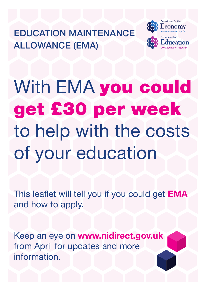EDUCATION MAINTENANCE ALLOWANCE (EMA)



With EMA you could get £30 per week to help with the costs of your education

This leaflet will tell you if you could get **EMA** and how to apply.

Keep an eye on <www.nidirect.gov.uk> from April for updates and more information.